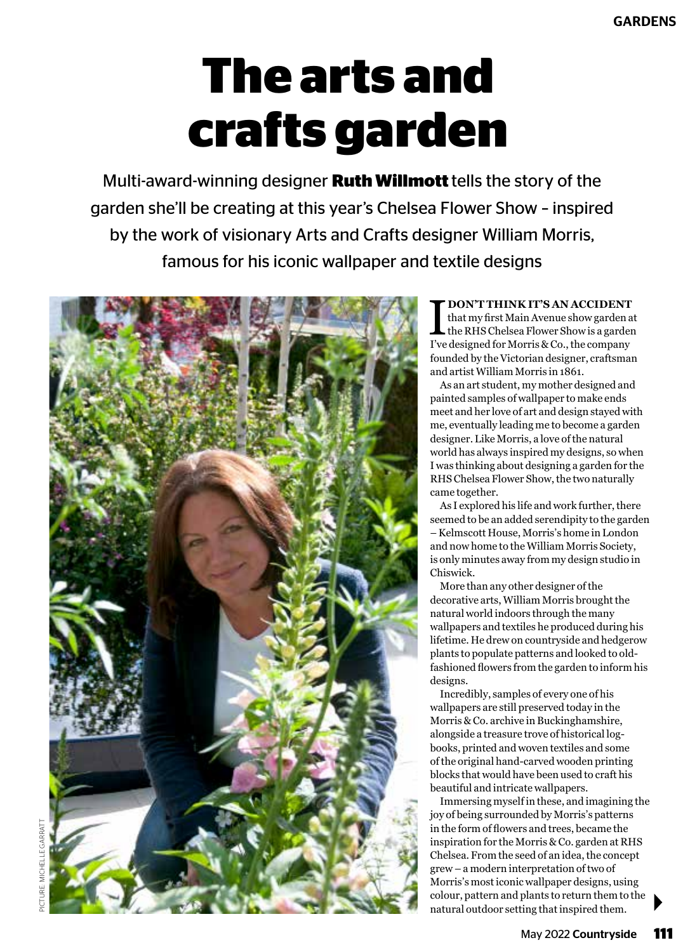# **The arts and crafts garden**

Multi-award-winning designer **Ruth Willmott** tells the story of the garden she'll be creating at this year's Chelsea Flower Show – inspired by the work of visionary Arts and Crafts designer William Morris, famous for his iconic wallpaper and textile designs



## **DON'T THINK IT'S AN ACCIDENT**

**I DON'T THINK IT'S AN ACCIDENT**<br>that my first Main Avenue show garden a<br>the RHS Chelsea Flower Show is a garde:<br>I've designed for Morris & Co., the company that my first Main Avenue show garden at the RHS Chelsea Flower Show is a garden founded by the Victorian designer, craftsman and artist William Morris in 1861.

As an art student, my mother designed and painted samples of wallpaper to make ends meet and her love of art and design stayed with me, eventually leading me to become a garden designer. Like Morris, a love of the natural world has always inspired my designs, so when I was thinking about designing a garden for the RHS Chelsea Flower Show, the two naturally came together.

As I explored his life and work further, there seemed to be an added serendipity to the garden – Kelmscott House, Morris's home in London and now home to the William Morris Society, is only minutes away from my design studio in Chiswick.

More than any other designer of the decorative arts, William Morris brought the natural world indoors through the many wallpapers and textiles he produced during his lifetime. He drew on countryside and hedgerow plants to populate patterns and looked to oldfashioned flowers from the garden to inform his designs.

Incredibly, samples of every one of his wallpapers are still preserved today in the Morris & Co. archive in Buckinghamshire, alongside a treasure trove of historical logbooks, printed and woven textiles and some of the original hand-carved wooden printing blocks that would have been used to craft his beautiful and intricate wallpapers.

Immersing myself in these, and imagining the joy of being surrounded by Morris's patterns in the form of flowers and trees, became the inspiration for the Morris & Co. garden at RHS Chelsea. From the seed of an idea, the concept grew – a modern interpretation of two of Morris's most iconic wallpaper designs, using colour, pattern and plants to return them to the natural outdoor setting that inspired them.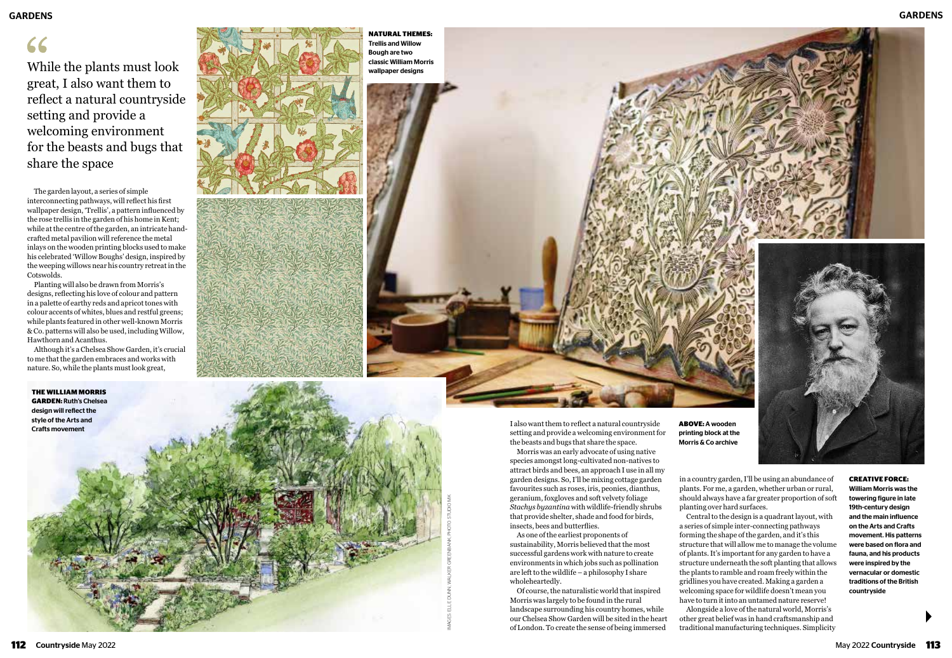# $66$

I also want them to reflect a natural countryside setting and provide a welcoming environment for the beasts and bugs that share the space.

Morris was an early advocate of using native species amongst long-cultivated non-natives to attract birds and bees, an approach I use in all my garden designs. So, I'll be mixing cottage garden favourites such as roses, iris, peonies, dianthus, geranium, foxgloves and soft velvety foliage *Stachys byzantina* with wildlife-friendly shrubs that provide shelter, shade and food for birds, insects, bees and butterflies.

As one of the earliest proponents of sustainability, Morris believed that the most successful gardens work with nature to create environments in which jobs such as pollination are left to the wildlife – a philosophy I share wholeheartedly.

Of course, the naturalistic world that inspired Morris was largely to be found in the rural landscape surrounding his country homes, while our Chelsea Show Garden will be sited in the heart of London. To create the sense of being immersed

While the plants must look great, I also want them to reflect a natural countryside setting and provide a welcoming environment for the beasts and bugs that share the space

> in a country garden, I'll be using an abundance of plants. For me, a garden, whether urban or rural, should always have a far greater proportion of soft planting over hard surfaces.

Central to the design is a quadrant layout, with Alongside a love of the natural world, Morris's

a series of simple inter-connecting pathways forming the shape of the garden, and it's this structure that will allow me to manage the volume of plants. It's important for any garden to have a structure underneath the soft planting that allows the plants to ramble and roam freely within the gridlines you have created. Making a garden a welcoming space for wildlife doesn't mean you have to turn it into an untamed nature reserve! other great belief was in hand craftsmanship and traditional manufacturing techniques. Simplicity



The garden layout, a series of simple interconnecting pathways, will reflect his first wallpaper design, 'Trellis', a pattern influenced by the rose trellis in the garden of his home in Kent; while at the centre of the garden, an intricate handcrafted metal pavilion will reference the metal inlays on the wooden printing blocks used to make his celebrated 'Willow Boughs' design, inspired by the weeping willows near his country retreat in the Cotswolds.

Planting will also be drawn from Morris's designs, reflecting his love of colour and pattern in a palette of earthy reds and apricot tones with colour accents of whites, blues and restful greens; while plants featured in other well-known Morris & Co. patterns will also be used, including Willow, Hawthorn and Acanthus.

Although it's a Chelsea Show Garden, it's crucial to me that the garden embraces and works with nature. So, while the plants must look great,

#### **CREATIVE FORCE:**

William Morris was the towering figure in late 19th-century design and the main influence on the Arts and Crafts movement. His patterns were based on flora and fauna, and his products were inspired by the vernacular or domestic traditions of the British countryside

**ABOVE:** A wooden printing block at the Morris & Co archive

**NATURAL THEMES:** Trellis and Willow Bough are two



**THE WILLIAM MORRIS GARDEN:** Ruth's Chelsea design will reflect the style of the Arts and Crafts movement